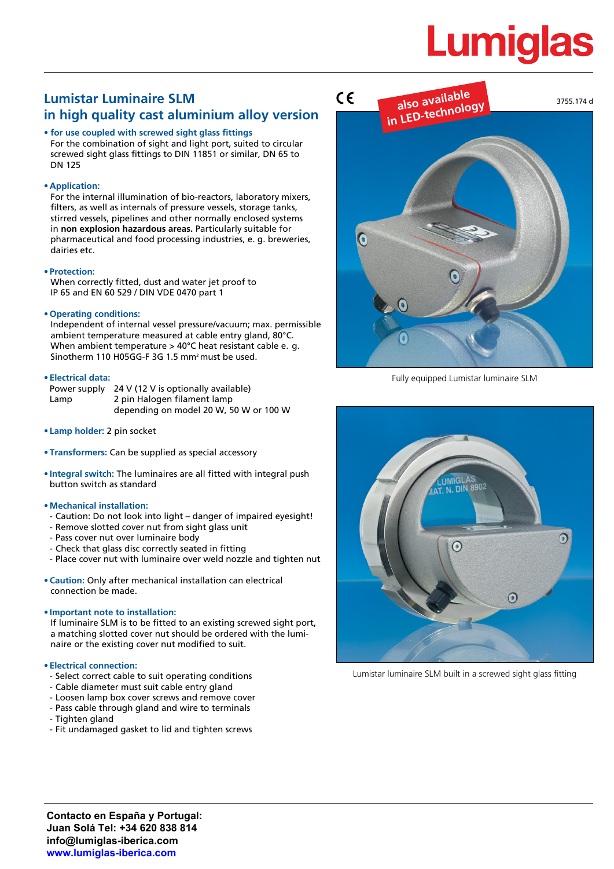# **Lumiglas**

# **Lumistar Luminaire SLM in high quality cast aluminium alloy version**

#### **• for use coupled with screwed sight glass fittings**

For the combination of sight and light port, suited to circular screwed sight glass fittings to DIN 11851 or similar, DN 65 to DN 125

### **• Application:**

For the internal illumination of bio-reactors, laboratory mixers, filters, as well as internals of pressure vessels, storage tanks, stirred vessels, pipelines and other normally enclosed systems in **non explosion hazardous areas.** Particularly suitable for pharmaceutical and food processing industries, e. g. breweries, dairies etc.

#### **• Protection:**

When correctly fitted, dust and water jet proof to IP 65 and EN 60 529 / DIN VDE 0470 part 1

## **• Operating conditions:**

Independent of internal vessel pressure/vacuum; max. permissible ambient temperature measured at cable entry gland, 80°C. When ambient temperature > 40°C heat resistant cable e. g. Sinotherm 110 H05GG-F 3G 1.5 mm2 must be used.

#### **• Electrical data:**

Power supply 24 V (12 V is optionally available) Lamp 2 pin Halogen filament lamp depending on model 20 W, 50 W or 100 W

- **• Lamp holder:** 2 pin socket
- **• Transformers:** Can be supplied as special accessory
- **• Integral switch:** The luminaires are all fitted with integral push button switch as standard

#### **• Mechanical installation:**

- Caution: Do not look into light danger of impaired eyesight!
- Remove slotted cover nut from sight glass unit
- Pass cover nut over luminaire body
- Check that glass disc correctly seated in fitting
- Place cover nut with luminaire over weld nozzle and tighten nut
- **• Caution:** Only after mechanical installation can electrical connection be made.

### **• Important note to installation:**

If luminaire SLM is to be fitted to an existing screwed sight port, a matching slotted cover nut should be ordered with the luminaire or the existing cover nut modified to suit.

#### **• Electrical connection:**

- Select correct cable to suit operating conditions
- Cable diameter must suit cable entry gland
- Loosen lamp box cover screws and remove cover
- Pass cable through gland and wire to terminals
- Tighten gland
- Fit undamaged gasket to lid and tighten screws



Fully equipped Lumistar luminaire SLM



Lumistar luminaire SLM built in a screwed sight glass fitting